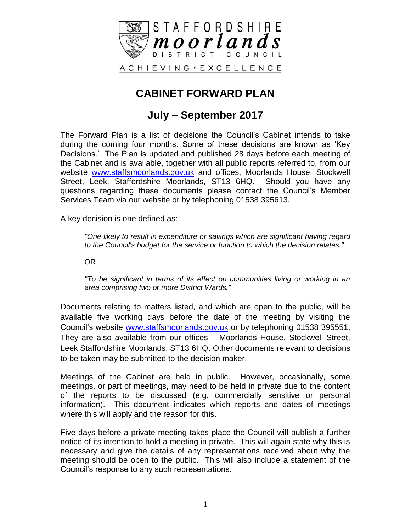

### **CABINET FORWARD PLAN**

#### **July – September 2017**

The Forward Plan is a list of decisions the Council's Cabinet intends to take during the coming four months. Some of these decisions are known as 'Key Decisions.' The Plan is updated and published 28 days before each meeting of the Cabinet and is available, together with all public reports referred to, from our website [www.staffsmoorlands.gov.uk](http://www.staffsmoorlands.gov.uk/) and offices, Moorlands House, Stockwell Street, Leek, Staffordshire Moorlands, ST13 6HQ. Should you have any questions regarding these documents please contact the Council's Member Services Team via our website or by telephoning 01538 395613.

A key decision is one defined as:

*"One likely to result in expenditure or savings which are significant having regard to the Council's budget for the service or function to which the decision relates."*

OR

*"To be significant in terms of its effect on communities living or working in an area comprising two or more District Wards."*

Documents relating to matters listed, and which are open to the public, will be available five working days before the date of the meeting by visiting the Council's website [www.staffsmoorlands.gov.uk](http://www.staffsmoorlands.gov.uk/) or by telephoning 01538 395551. They are also available from our offices – Moorlands House, Stockwell Street, Leek Staffordshire Moorlands, ST13 6HQ. Other documents relevant to decisions to be taken may be submitted to the decision maker.

Meetings of the Cabinet are held in public. However, occasionally, some meetings, or part of meetings, may need to be held in private due to the content of the reports to be discussed (e.g. commercially sensitive or personal information). This document indicates which reports and dates of meetings where this will apply and the reason for this.

Five days before a private meeting takes place the Council will publish a further notice of its intention to hold a meeting in private. This will again state why this is necessary and give the details of any representations received about why the meeting should be open to the public. This will also include a statement of the Council's response to any such representations.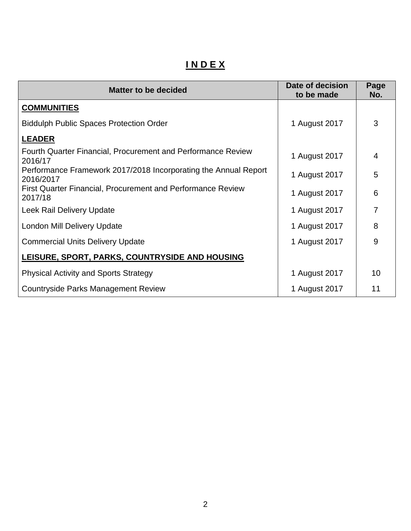# **I N D E X**

| <b>Matter to be decided</b>                                                   | Date of decision<br>to be made | Page<br>No.    |
|-------------------------------------------------------------------------------|--------------------------------|----------------|
| <b>COMMUNITIES</b>                                                            |                                |                |
| <b>Biddulph Public Spaces Protection Order</b>                                | 1 August 2017                  | 3              |
| <b>LEADER</b>                                                                 |                                |                |
| Fourth Quarter Financial, Procurement and Performance Review<br>2016/17       | 1 August 2017                  | $\overline{4}$ |
| Performance Framework 2017/2018 Incorporating the Annual Report<br>2016/2017  | 1 August 2017                  | 5              |
| <b>First Quarter Financial, Procurement and Performance Review</b><br>2017/18 | 1 August 2017                  | 6              |
| Leek Rail Delivery Update                                                     | 1 August 2017                  | 7              |
| <b>London Mill Delivery Update</b>                                            | 1 August 2017                  | 8              |
| <b>Commercial Units Delivery Update</b>                                       | 1 August 2017                  | 9              |
| LEISURE, SPORT, PARKS, COUNTRYSIDE AND HOUSING                                |                                |                |
| <b>Physical Activity and Sports Strategy</b>                                  | 1 August 2017                  | 10             |
| <b>Countryside Parks Management Review</b>                                    | 1 August 2017                  | 11             |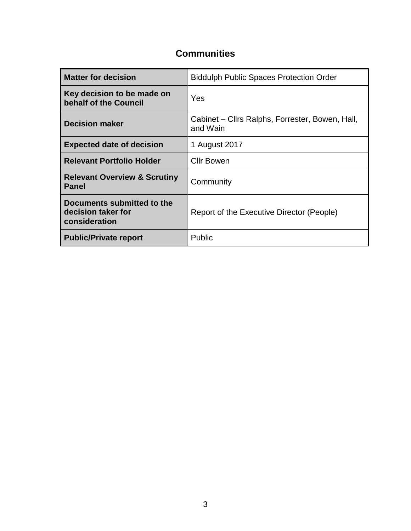## **Communities**

| <b>Matter for decision</b>                                        | <b>Biddulph Public Spaces Protection Order</b>              |
|-------------------------------------------------------------------|-------------------------------------------------------------|
| Key decision to be made on<br>behalf of the Council               | Yes                                                         |
| <b>Decision maker</b>                                             | Cabinet – Cllrs Ralphs, Forrester, Bowen, Hall,<br>and Wain |
| <b>Expected date of decision</b>                                  | 1 August 2017                                               |
| <b>Relevant Portfolio Holder</b>                                  | Cllr Bowen                                                  |
| <b>Relevant Overview &amp; Scrutiny</b><br><b>Panel</b>           | Community                                                   |
| Documents submitted to the<br>decision taker for<br>consideration | Report of the Executive Director (People)                   |
| <b>Public/Private report</b>                                      | <b>Public</b>                                               |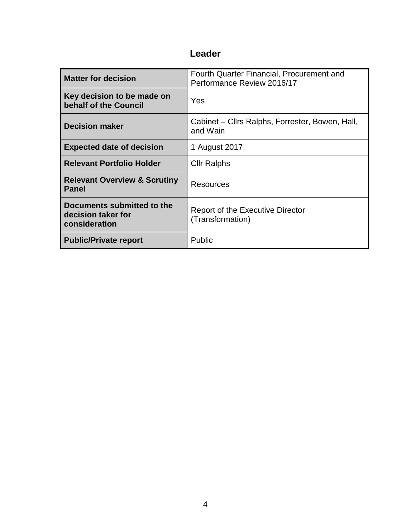| <b>Matter for decision</b>                                        | Fourth Quarter Financial, Procurement and<br>Performance Review 2016/17 |
|-------------------------------------------------------------------|-------------------------------------------------------------------------|
| Key decision to be made on<br>behalf of the Council               | Yes                                                                     |
| <b>Decision maker</b>                                             | Cabinet – Cllrs Ralphs, Forrester, Bowen, Hall,<br>and Wain             |
| <b>Expected date of decision</b>                                  | 1 August 2017                                                           |
| <b>Relevant Portfolio Holder</b>                                  | <b>Cllr Ralphs</b>                                                      |
| <b>Relevant Overview &amp; Scrutiny</b><br><b>Panel</b>           | Resources                                                               |
| Documents submitted to the<br>decision taker for<br>consideration | Report of the Executive Director<br>(Transformation)                    |
| <b>Public/Private report</b>                                      | Public                                                                  |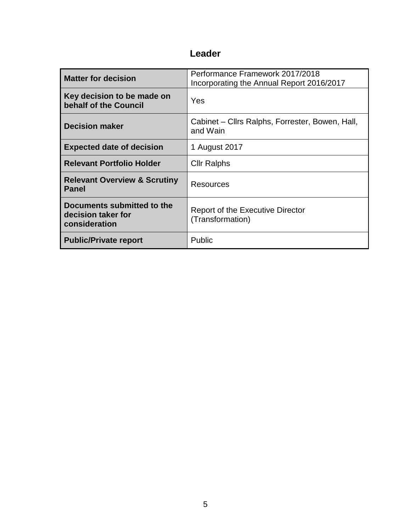| <b>Matter for decision</b>                                        | Performance Framework 2017/2018<br>Incorporating the Annual Report 2016/2017 |
|-------------------------------------------------------------------|------------------------------------------------------------------------------|
| Key decision to be made on<br>behalf of the Council               | Yes                                                                          |
| <b>Decision maker</b>                                             | Cabinet – Cllrs Ralphs, Forrester, Bowen, Hall,<br>and Wain                  |
| <b>Expected date of decision</b>                                  | 1 August 2017                                                                |
| <b>Relevant Portfolio Holder</b>                                  | <b>Cllr Ralphs</b>                                                           |
| <b>Relevant Overview &amp; Scrutiny</b><br><b>Panel</b>           | Resources                                                                    |
| Documents submitted to the<br>decision taker for<br>consideration | Report of the Executive Director<br>(Transformation)                         |
| <b>Public/Private report</b>                                      | Public                                                                       |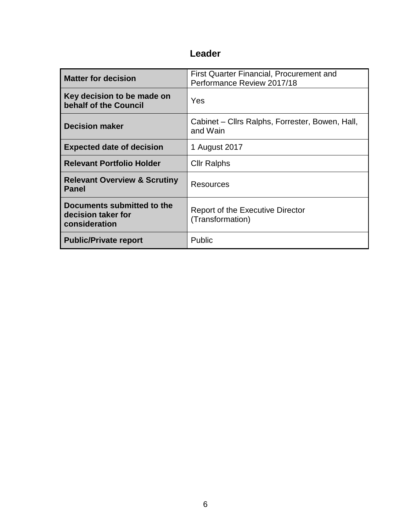| <b>Matter for decision</b>                                        | First Quarter Financial, Procurement and<br>Performance Review 2017/18 |
|-------------------------------------------------------------------|------------------------------------------------------------------------|
| Key decision to be made on<br>behalf of the Council               | Yes                                                                    |
| <b>Decision maker</b>                                             | Cabinet – Cllrs Ralphs, Forrester, Bowen, Hall,<br>and Wain            |
| <b>Expected date of decision</b>                                  | 1 August 2017                                                          |
| <b>Relevant Portfolio Holder</b>                                  | <b>Cllr Ralphs</b>                                                     |
| <b>Relevant Overview &amp; Scrutiny</b><br><b>Panel</b>           | Resources                                                              |
| Documents submitted to the<br>decision taker for<br>consideration | Report of the Executive Director<br>(Transformation)                   |
| <b>Public/Private report</b>                                      | Public                                                                 |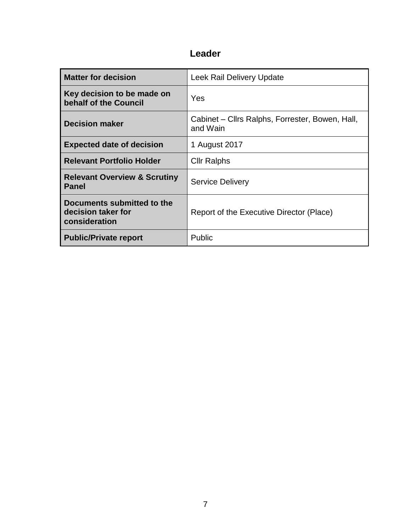| <b>Matter for decision</b>                                        | Leek Rail Delivery Update                                   |
|-------------------------------------------------------------------|-------------------------------------------------------------|
| Key decision to be made on<br>behalf of the Council               | Yes                                                         |
| <b>Decision maker</b>                                             | Cabinet – Cllrs Ralphs, Forrester, Bowen, Hall,<br>and Wain |
| <b>Expected date of decision</b>                                  | 1 August 2017                                               |
| <b>Relevant Portfolio Holder</b>                                  | <b>Cllr Ralphs</b>                                          |
| <b>Relevant Overview &amp; Scrutiny</b><br><b>Panel</b>           | <b>Service Delivery</b>                                     |
| Documents submitted to the<br>decision taker for<br>consideration | Report of the Executive Director (Place)                    |
| <b>Public/Private report</b>                                      | Public                                                      |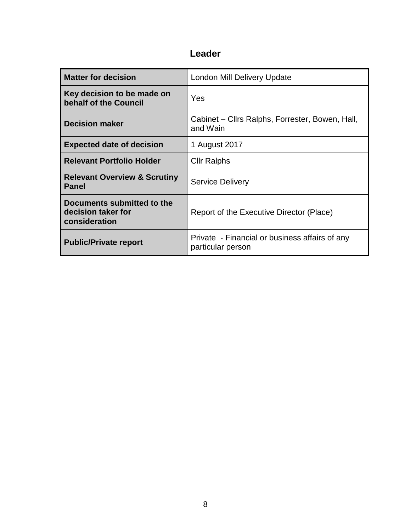| <b>Matter for decision</b>                                        | <b>London Mill Delivery Update</b>                                  |
|-------------------------------------------------------------------|---------------------------------------------------------------------|
| Key decision to be made on<br>behalf of the Council               | Yes                                                                 |
| <b>Decision maker</b>                                             | Cabinet – Cllrs Ralphs, Forrester, Bowen, Hall,<br>and Wain         |
| <b>Expected date of decision</b>                                  | 1 August 2017                                                       |
| <b>Relevant Portfolio Holder</b>                                  | <b>Cllr Ralphs</b>                                                  |
| <b>Relevant Overview &amp; Scrutiny</b><br><b>Panel</b>           | <b>Service Delivery</b>                                             |
| Documents submitted to the<br>decision taker for<br>consideration | Report of the Executive Director (Place)                            |
| <b>Public/Private report</b>                                      | Private - Financial or business affairs of any<br>particular person |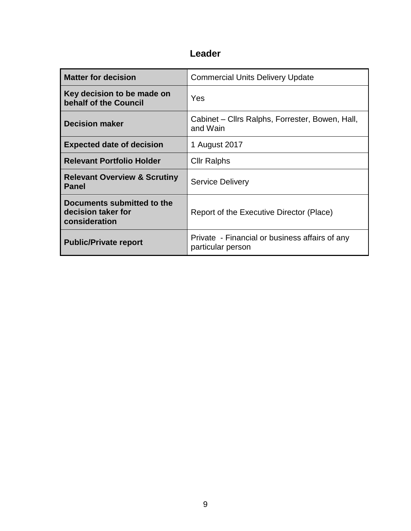| <b>Matter for decision</b>                                        | <b>Commercial Units Delivery Update</b>                             |
|-------------------------------------------------------------------|---------------------------------------------------------------------|
| Key decision to be made on<br>behalf of the Council               | Yes                                                                 |
| <b>Decision maker</b>                                             | Cabinet – Cllrs Ralphs, Forrester, Bowen, Hall,<br>and Wain         |
| <b>Expected date of decision</b>                                  | 1 August 2017                                                       |
| <b>Relevant Portfolio Holder</b>                                  | <b>Cllr Ralphs</b>                                                  |
| <b>Relevant Overview &amp; Scrutiny</b><br><b>Panel</b>           | <b>Service Delivery</b>                                             |
| Documents submitted to the<br>decision taker for<br>consideration | Report of the Executive Director (Place)                            |
| <b>Public/Private report</b>                                      | Private - Financial or business affairs of any<br>particular person |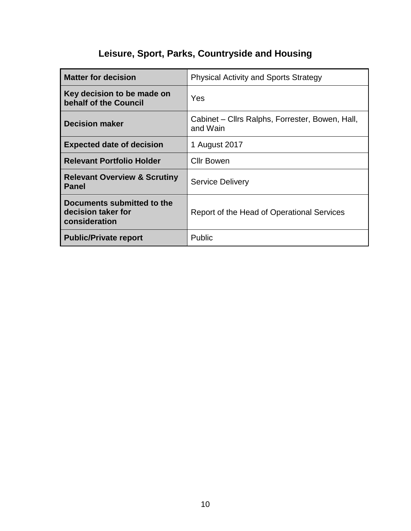# **Leisure, Sport, Parks, Countryside and Housing**

| <b>Matter for decision</b>                                        | <b>Physical Activity and Sports Strategy</b>                |
|-------------------------------------------------------------------|-------------------------------------------------------------|
| Key decision to be made on<br>behalf of the Council               | Yes                                                         |
| <b>Decision maker</b>                                             | Cabinet – Cllrs Ralphs, Forrester, Bowen, Hall,<br>and Wain |
| <b>Expected date of decision</b>                                  | 1 August 2017                                               |
| <b>Relevant Portfolio Holder</b>                                  | <b>Cllr Bowen</b>                                           |
| <b>Relevant Overview &amp; Scrutiny</b><br><b>Panel</b>           | <b>Service Delivery</b>                                     |
| Documents submitted to the<br>decision taker for<br>consideration | Report of the Head of Operational Services                  |
| <b>Public/Private report</b>                                      | Public                                                      |